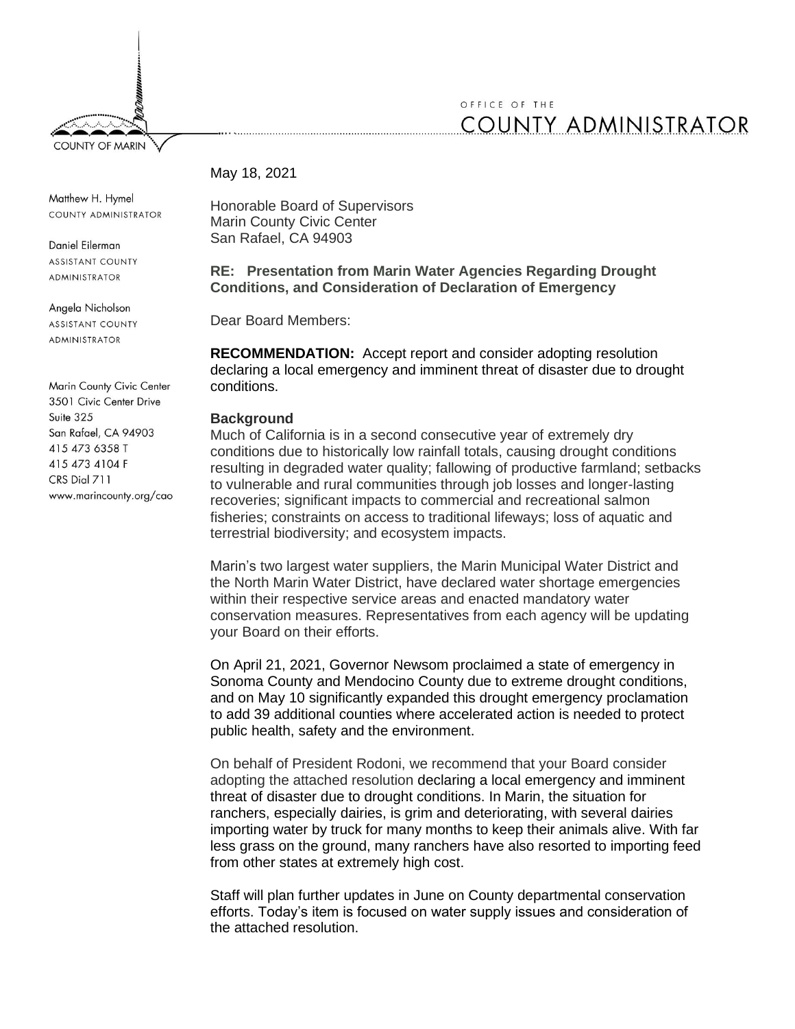

# OFFICE OF THE **COUNTY ADMINISTRATOR**

## May 18, 2021

Matthew H. Hymel COUNTY ADMINISTRATOR

Daniel Filerman **ASSISTANT COUNTY ADMINISTRATOR** 

Angela Nicholson **ASSISTANT COUNTY** 

**ADMINISTRATOR** 

Marin County Civic Center 3501 Civic Center Drive  $Suite$  325 San Rafael, CA 94903 415 473 6358 T 415 473 4104 F CRS Dial 711 www.marincounty.org/cao Honorable Board of Supervisors Marin County Civic Center San Rafael, CA 94903

**RE: Presentation from Marin Water Agencies Regarding Drought Conditions, and Consideration of Declaration of Emergency** 

Dear Board Members:

**RECOMMENDATION:** Accept report and consider adopting resolution declaring a local emergency and imminent threat of disaster due to drought conditions.

# **Background**

Much of California is in a second consecutive year of extremely dry conditions due to historically low rainfall totals, causing drought conditions resulting in degraded water quality; fallowing of productive farmland; setbacks to vulnerable and rural communities through job losses and longer-lasting recoveries; significant impacts to commercial and recreational salmon fisheries; constraints on access to traditional lifeways; loss of aquatic and terrestrial biodiversity; and ecosystem impacts.

Marin's two largest water suppliers, the Marin Municipal Water District and the North Marin Water District, have declared water shortage emergencies within their respective service areas and enacted mandatory water conservation measures. Representatives from each agency will be updating your Board on their efforts.

On April 21, 2021, Governor Newsom proclaimed a state of emergency in Sonoma County and Mendocino County due to extreme drought conditions, and on May 10 significantly expanded this drought emergency proclamation to add 39 additional counties where accelerated action is needed to protect public health, safety and the environment.

On behalf of President Rodoni, we recommend that your Board consider adopting the attached resolution declaring a local emergency and imminent threat of disaster due to drought conditions. In Marin, the situation for ranchers, especially dairies, is grim and deteriorating, with several dairies importing water by truck for many months to keep their animals alive. With far less grass on the ground, many ranchers have also resorted to importing feed from other states at extremely high cost.

Staff will plan further updates in June on County departmental conservation efforts. Today's item is focused on water supply issues and consideration of the attached resolution.